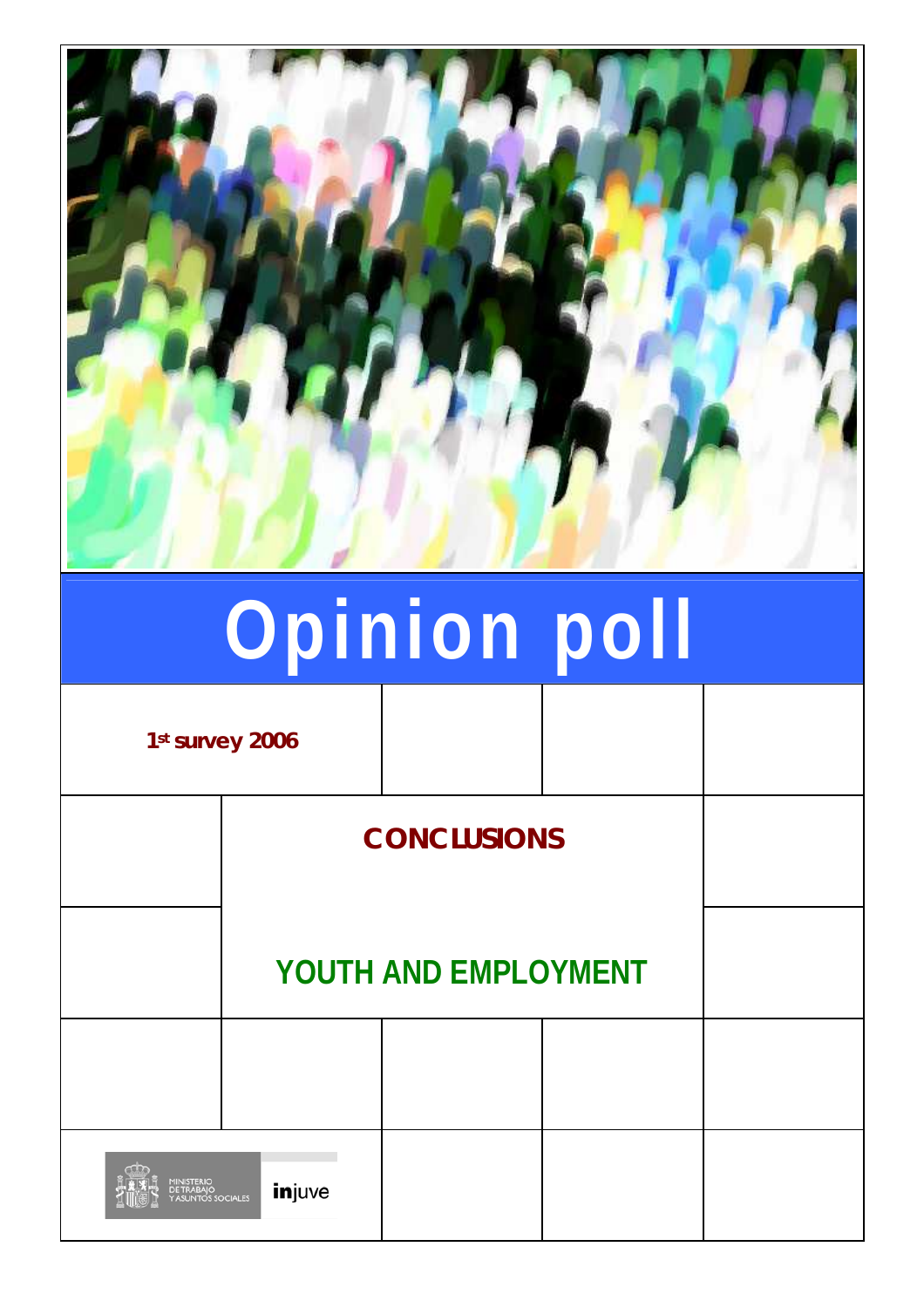

# **Opinion poll**

**1st survey 2006** 

**CONCLUSIONS**

**YOUTH AND EMPLOYMENT**

injuve OCIALES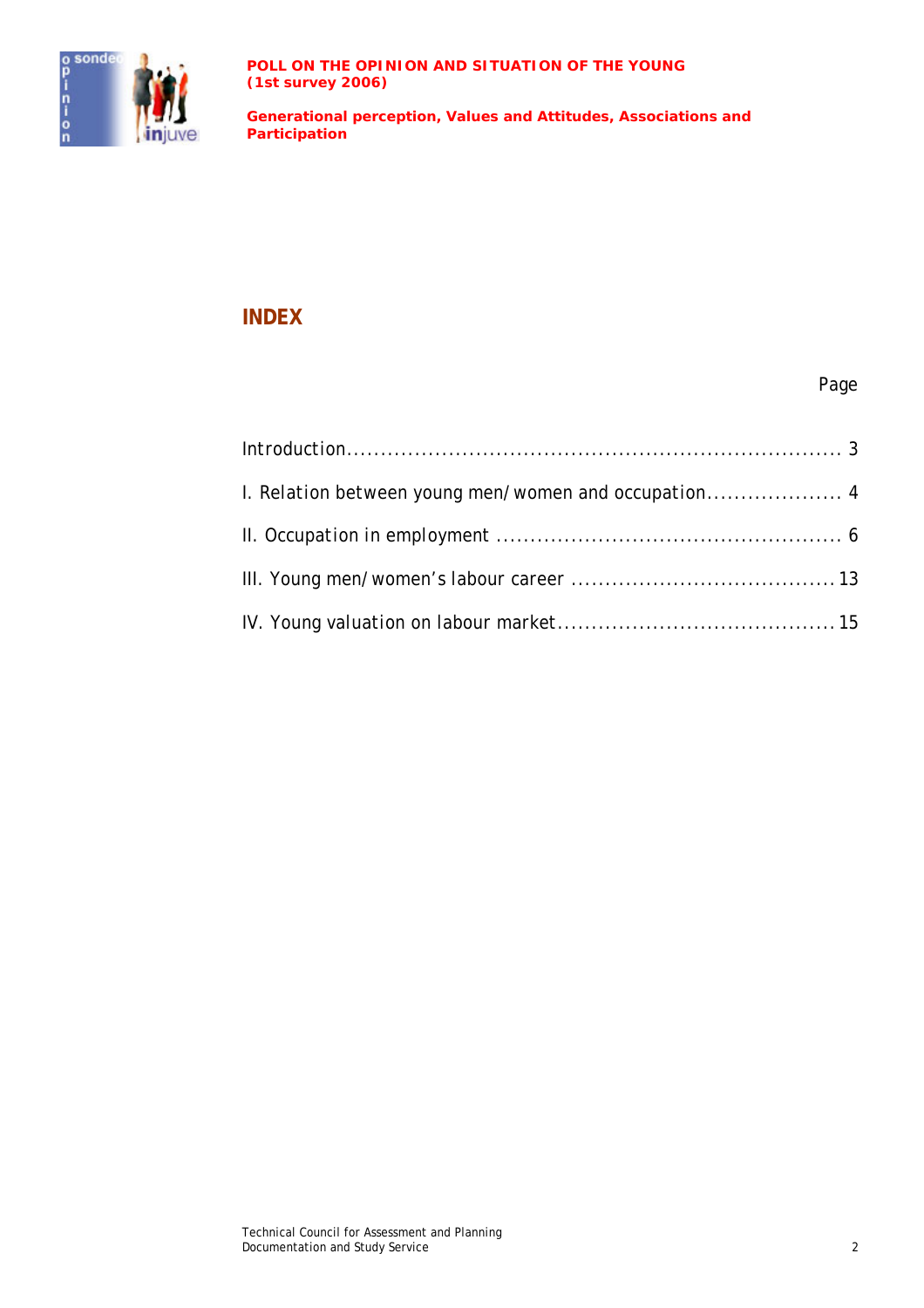

**Generational perception, Values and Attitudes, Associations and Participation**

#### **INDEX**

#### Page

| I. Relation between young men/women and occupation4 |  |
|-----------------------------------------------------|--|
|                                                     |  |
|                                                     |  |
|                                                     |  |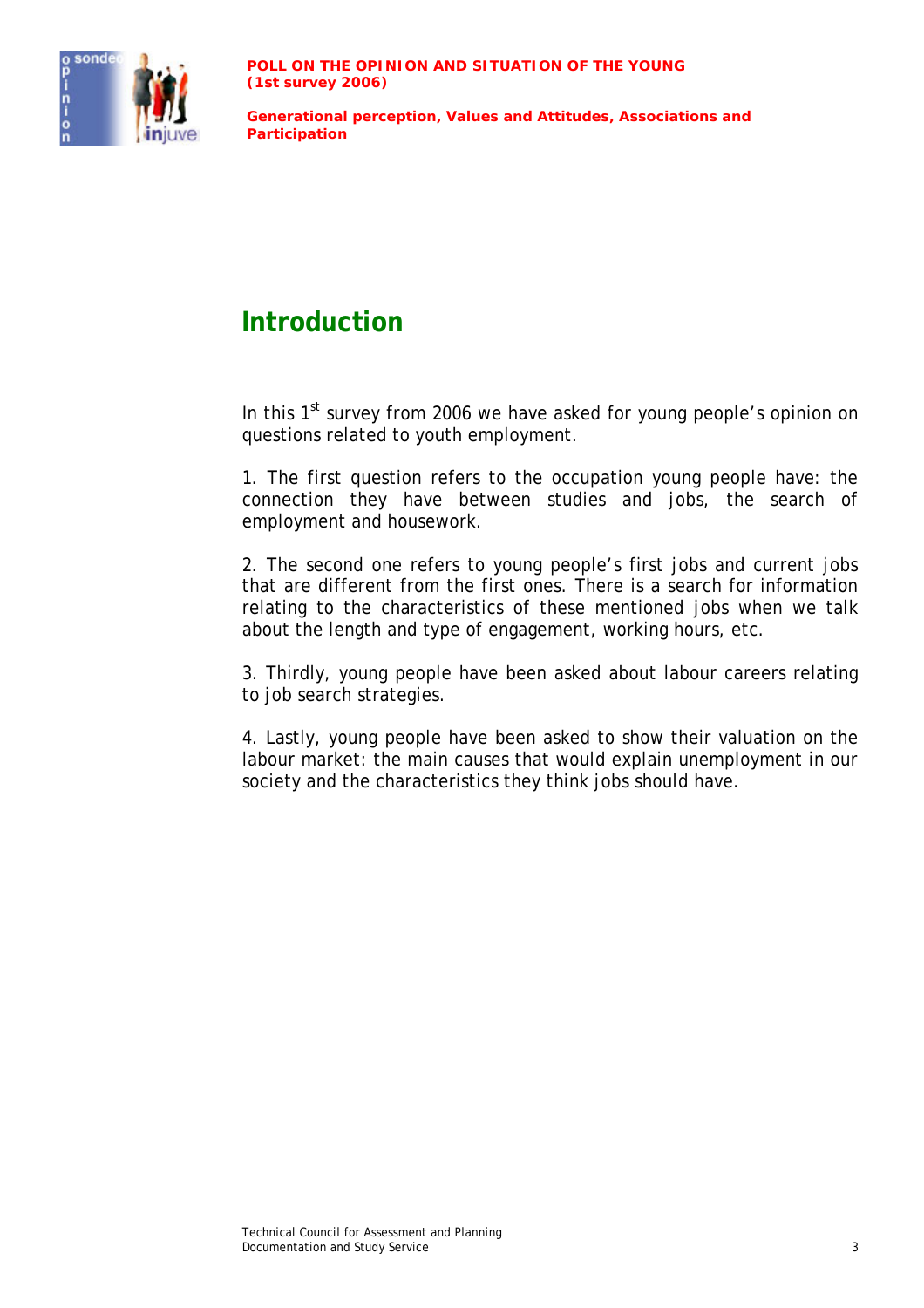

## **Introduction**

In this  $1<sup>st</sup>$  survey from 2006 we have asked for young people's opinion on questions related to youth employment.

1. The first question refers to the occupation young people have: the connection they have between studies and jobs, the search of employment and housework.

2. The second one refers to young people's first jobs and current jobs that are different from the first ones. There is a search for information relating to the characteristics of these mentioned jobs when we talk about the length and type of engagement, working hours, etc.

3. Thirdly, young people have been asked about labour careers relating to job search strategies.

4. Lastly, young people have been asked to show their valuation on the labour market: the main causes that would explain unemployment in our society and the characteristics they think jobs should have.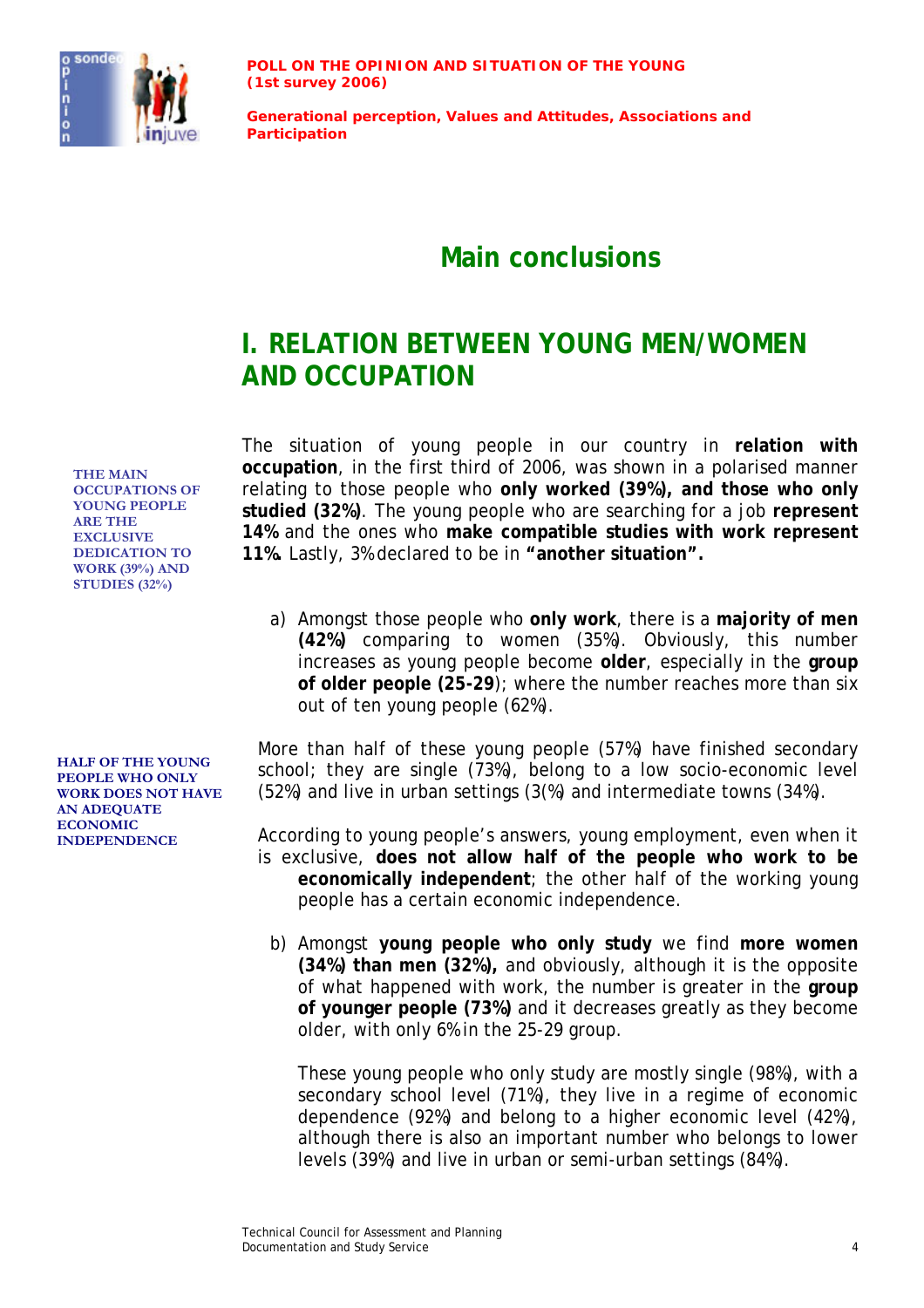

**Generational perception, Values and Attitudes, Associations and Participation**

## **Main conclusions**

## **I. RELATION BETWEEN YOUNG MEN/WOMEN AND OCCUPATION**

**THE MAIN OCCUPATIONS OF YOUNG PEOPLE ARE THE EXCLUSIVE DEDICATION TO WORK (39%) AND STUDIES (32%)** 

**HALF OF THE YOUNG PEOPLE WHO ONLY WORK DOES NOT HAVE AN ADEQUATE ECONOMIC** 

The situation of young people in our country in **relation with occupation**, in the first third of 2006, was shown in a polarised manner relating to those people who **only worked (39%), and those who only studied (32%)**. The young people who are searching for a job **represent 14%** and the ones who **make compatible studies with work represent 11%.** Lastly, 3% declared to be in **"another situation".**

a) Amongst those people who **only work**, there is a **majority of men (42%)** comparing to women (35%). Obviously, this number increases as young people become **older**, especially in the **group of older people (25-29**); where the number reaches more than six out of ten young people (62%).

More than half of these young people (57%) have finished secondary school; they are single (73%), belong to a low socio-economic level (52%) and live in urban settings (3(%) and intermediate towns (34%).

According to young people's answers, young employment, even when it is exclusive, **does not allow half of the people who work to be economically independent**; the other half of the working young people has a certain economic independence.

b) Amongst **young people who only study** we find **more women (34%) than men (32%),** and obviously, although it is the opposite of what happened with work, the number is greater in the **group of younger people (73%)** and it decreases greatly as they become older, with only 6% in the 25-29 group.

These young people who only study are mostly single (98%), with a secondary school level (71%), they live in a regime of economic dependence (92%) and belong to a higher economic level (42%), although there is also an important number who belongs to lower levels (39%) and live in urban or semi-urban settings (84%).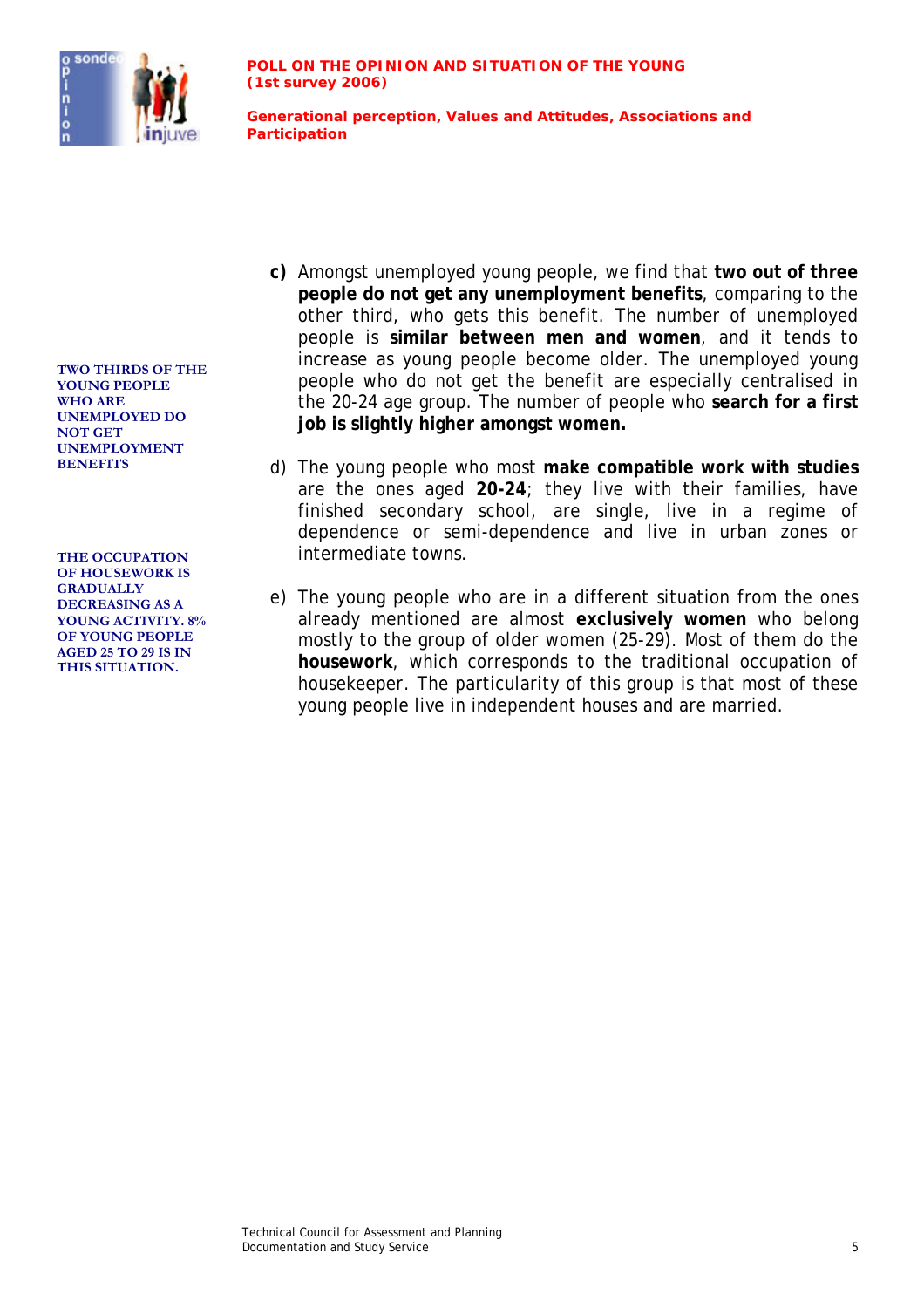

- **c)** Amongst unemployed young people, we find that **two out of three people do not get any unemployment benefits**, comparing to the other third, who gets this benefit. The number of unemployed people is **similar between men and women**, and it tends to increase as young people become older. The unemployed young people who do not get the benefit are especially centralised in the 20-24 age group. The number of people who **search for a first job is slightly higher amongst women.**
- **BENEFITS** d) The young people who most **make compatible work with studies** are the ones aged **20-24**; they live with their families, have finished secondary school, are single, live in a regime of dependence or semi-dependence and live in urban zones or **THE OCCUPATION** intermediate towns.
	- e) The young people who are in a different situation from the ones already mentioned are almost **exclusively women** who belong mostly to the group of older women (25-29). Most of them do the **housework**, which corresponds to the traditional occupation of *housekeeper*. The particularity of this group is that most of these young people live in independent houses and are married.

**TWO THIRDS OF THE YOUNG PEOPLE WHO ARE UNEMPLOYED DO NOT GET UNEMPLOYMENT** 

**OF HOUSEWORK IS GRADUALLY DECREASING AS A YOUNG ACTIVITY. 8% OF YOUNG PEOPLE AGED 25 TO 29 IS IN THIS SITUATION.**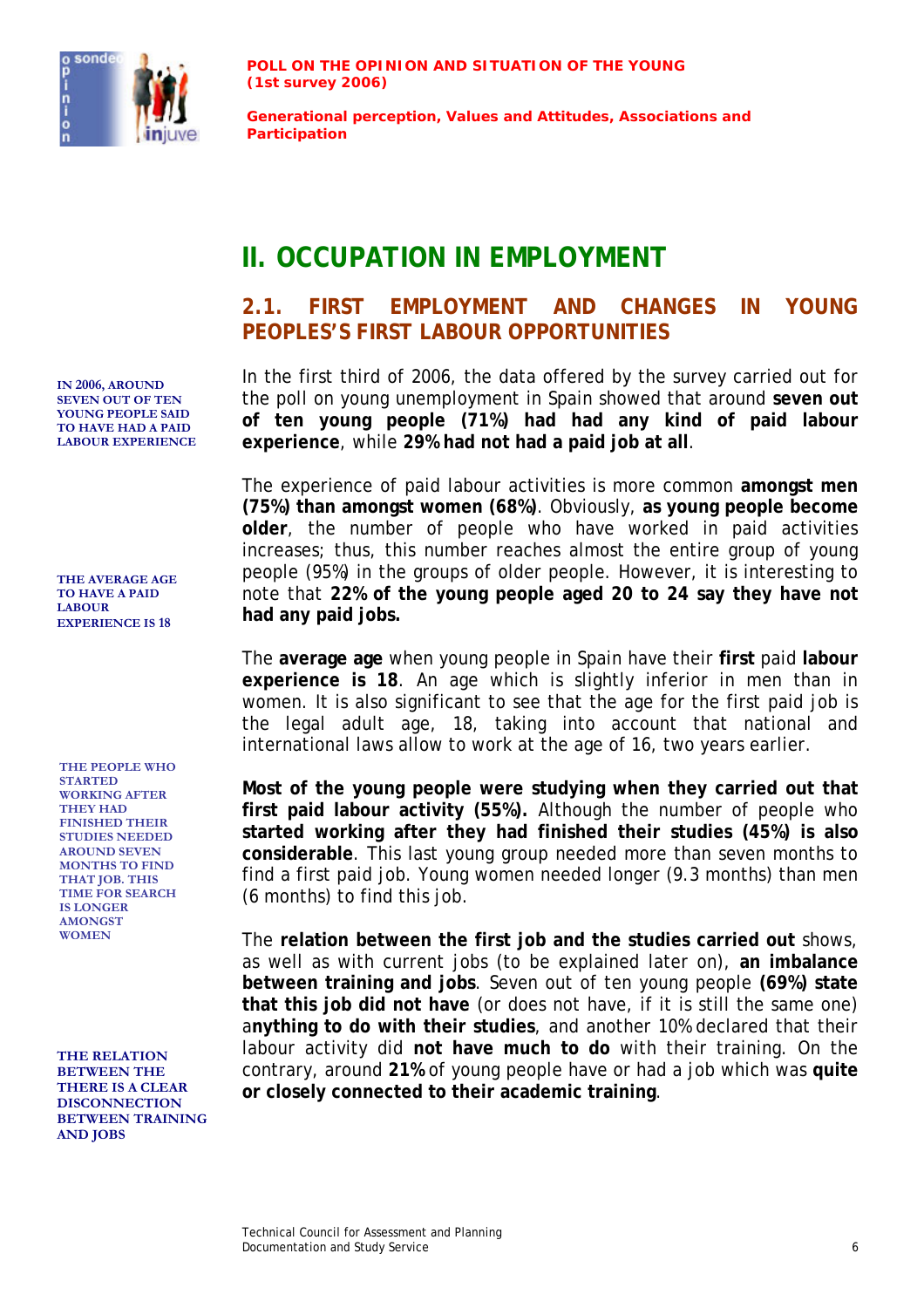

**Generational perception, Values and Attitudes, Associations and Participation**

## **II. OCCUPATION IN EMPLOYMENT**

#### **2.1. FIRST EMPLOYMENT AND CHANGES IN YOUNG PEOPLES'S FIRST LABOUR OPPORTUNITIES**

In the first third of 2006, the data offered by the survey carried out for the poll on young unemployment in Spain showed that around **seven out of ten young people (71%) had had any kind of paid labour experience**, while **29% had not had a paid job at all**.

The experience of paid labour activities is more common **amongst men (75%) than amongst women (68%)**. Obviously, **as young people become older**, the number of people who have worked in paid activities increases; thus, this number reaches almost the entire group of young people (95%) in the groups of older people. However, it is interesting to note that **22% of the young people aged 20 to 24 say they have not had any paid jobs.** 

The **average age** when young people in Spain have their **first** paid **labour experience is 18**. An age which is slightly inferior in men than in women. It is also significant to see that the age for the first paid job is the legal adult age, 18, taking into account that national and international laws allow to work at the age of 16, two years earlier.

**Most of the young people were studying when they carried out that first paid labour activity (55%).** Although the number of people who **started working after they had finished their studies (45%) is also considerable**. This last young group needed more than seven months to find a first paid job. Young women needed longer (9.3 months) than men (6 months) to find this job.

The **relation between the first job and the studies carried out** shows, as well as with current jobs (to be explained later on), **an imbalance between training and jobs**. Seven out of ten young people **(69%) state that this job did not have** (or does not have, if it is still the same one) a**nything to do with their studies**, and another 10% declared that their labour activity did **not have much to do** with their training. On the contrary, around **21%** of young people have or had a job which was **quite or closely connected to their academic training**.

**IN 2006, AROUND SEVEN OUT OF TEN YOUNG PEOPLE SAID TO HAVE HAD A PAID LABOUR EXPERIENCE**

**THE AVERAGE AGE TO HAVE A PAID LABOUR EXPERIENCE IS 18** 

**THE PEOPLE WHO STARTED WORKING AFTER THEY HAD FINISHED THEIR STUDIES NEEDED AROUND SEVEN MONTHS TO FIND THAT JOB. THIS TIME FOR SEARCH IS LONGER AMONGST WOMEN** 

**THE RELATION BETWEEN THE THERE IS A CLEAR DISCONNECTION BETWEEN TRAINING AND JOBS**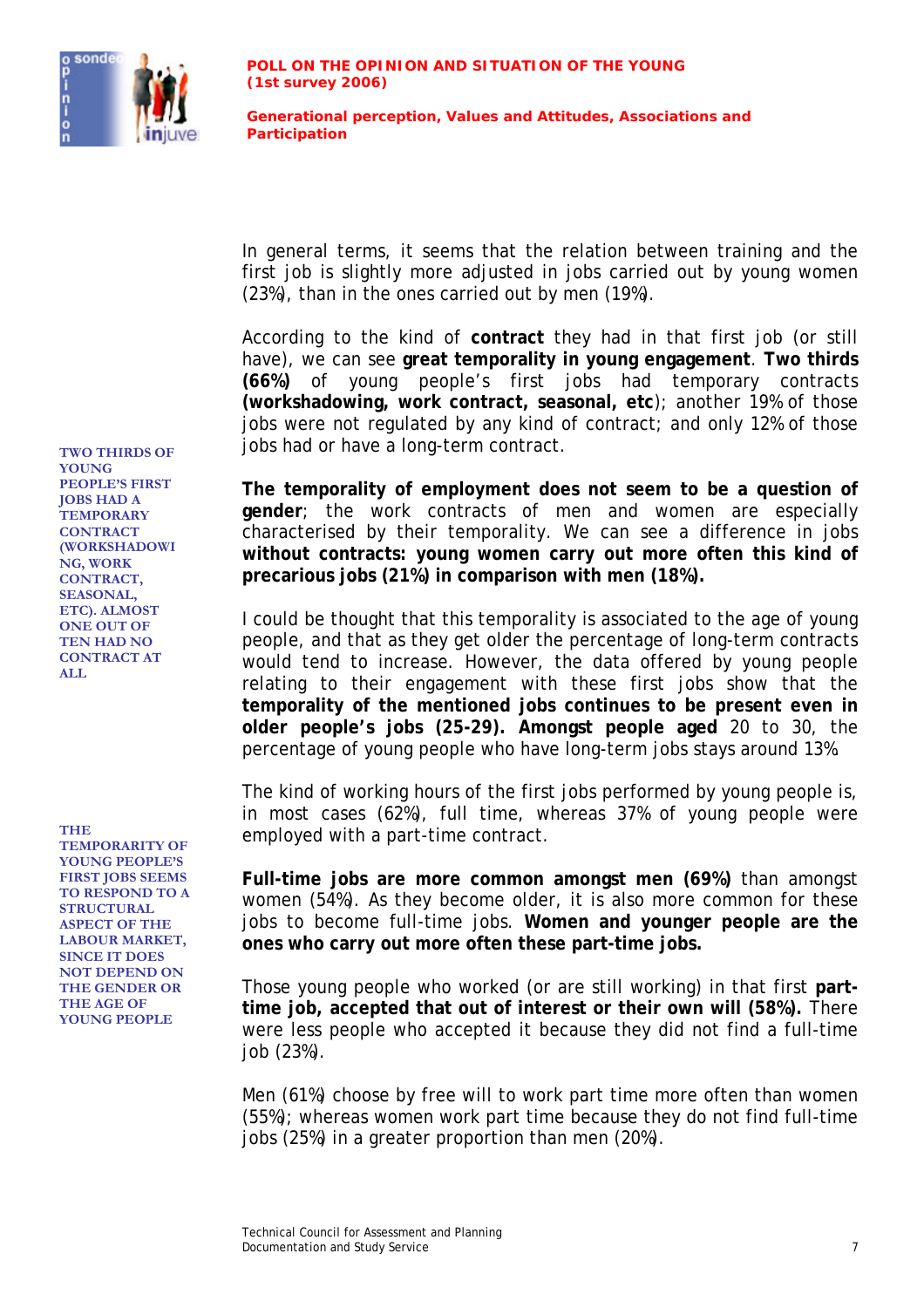

In general terms, it seems that the relation between training and the first job is slightly more adjusted in jobs carried out by young women (23%), than in the ones carried out by men (19%).

According to the kind of **contract** they had in that first job (or still have), we can see **great temporality in young engagement**. **Two thirds (66%)** of young people's first jobs had temporary contracts **(workshadowing, work contract, seasonal, etc**); another 19% of those jobs were not regulated by any kind of contract; and only 12% of those jobs had or have a long-term contract. **TWO THIRDS OF** 

> **The temporality of employment does not seem to be a question of gender**; the work contracts of men and women are especially characterised by their temporality. We can see a difference in jobs **without contracts: young women carry out more often this kind of precarious jobs (21%) in comparison with men (18%).**

> I could be thought that this temporality is associated to the age of young people, and that as they get older the percentage of long-term contracts would tend to increase. However, the data offered by young people relating to their engagement with these first jobs show that the **temporality of the mentioned jobs continues to be present even in older people's jobs (25-29). Amongst people aged** 20 to 30, the percentage of young people who have long-term jobs stays around 13%.

The kind of working hours of the first jobs performed by young people is, in most cases (62%), full time, whereas 37% of young people were THE employed with a part-time contract.

> **Full-time jobs are more common amongst men (69%)** than amongst women (54%). As they become older, it is also more common for these jobs to become full-time jobs. **Women and younger people are the ones who carry out more often these part-time jobs.**

> Those young people who worked (or are still working) in that first **parttime job, accepted that out of interest or their own will (58%).** There were less people who accepted it because they did not find a full-time job (23%).

> Men (61%) choose by free will to work part time more often than women (55%); whereas women work part time because they do not find full-time jobs (25%) in a greater proportion than men (20%).

**YOUNG PEOPLE'S FIRST JOBS HAD A TEMPORARY CONTRACT (WORKSHADOWI NG, WORK CONTRACT, SEASONAL, ETC). ALMOST ONE OUT OF TEN HAD NO CONTRACT AT ALL** 

**TEMPORARITY OF YOUNG PEOPLE'S FIRST JOBS SEEMS TO RESPOND TO A STRUCTURAL ASPECT OF THE LABOUR MARKET, SINCE IT DOES NOT DEPEND ON THE GENDER OR THE AGE OF YOUNG PEOPLE**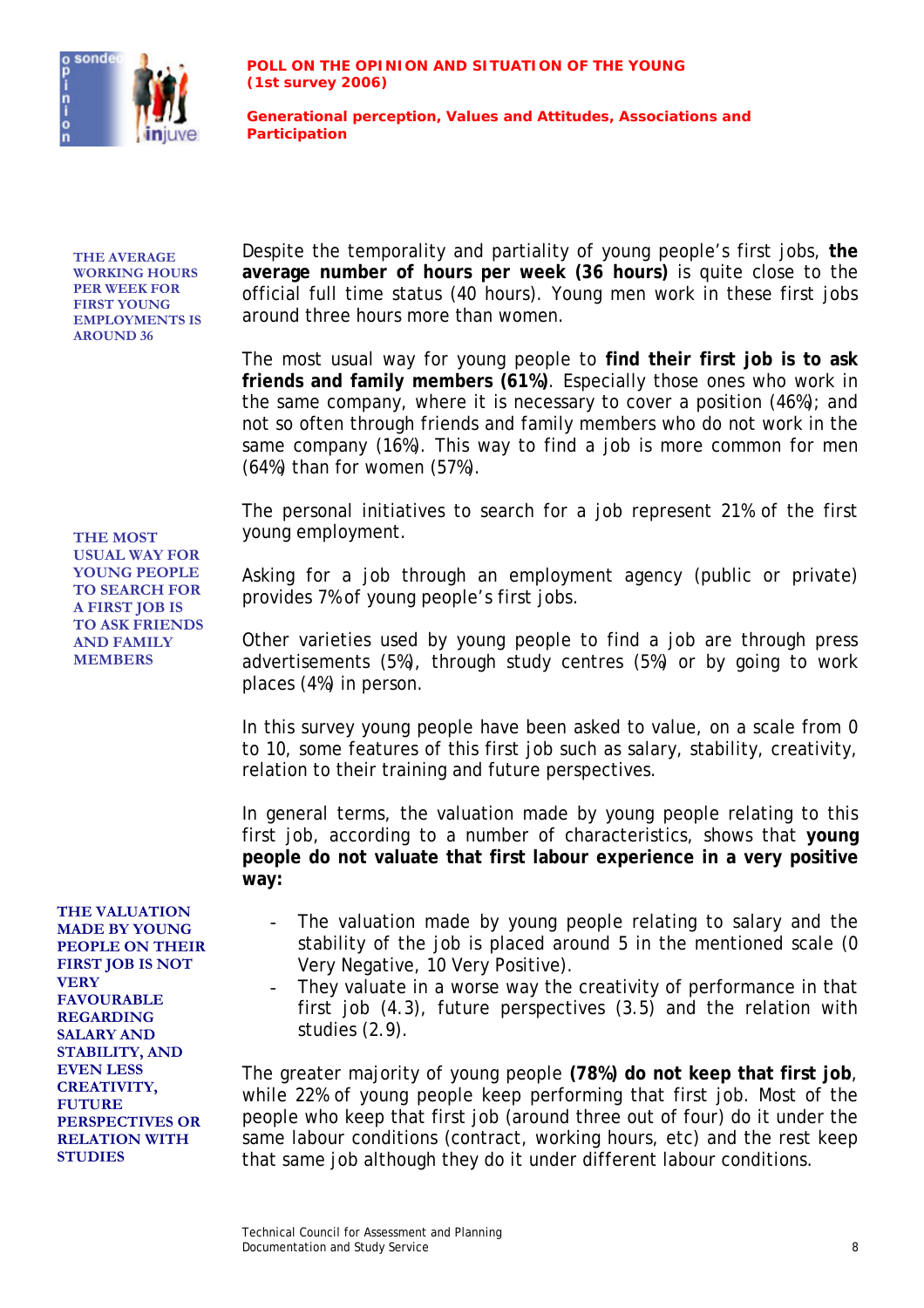

**THE AVERAGE WORKING HOURS PER WEEK FOR FIRST YOUNG EMPLOYMENTS IS AROUND 36** 

Despite the temporality and partiality of young people's first jobs, **the average number of hours per week (36 hours)** is quite close to the official full time status (40 hours). Young men work in these first jobs around three hours more than women.

The most usual way for young people to **find their first job is to ask friends and family members (61%)**. Especially those ones who work in the same company, where it is necessary to cover a position (46%); and not so often through friends and family members who do not work in the same company (16%). This way to find a job is more common for men (64%) than for women (57%).

The personal initiatives to search for a job represent 21% of the first **THE MOST** young employment.

> Asking for a job through an employment agency (public or private) provides 7% of young people's first jobs.

> Other varieties used by young people to find a job are through press advertisements (5%), through study centres (5%) or by going to work places (4%) in person.

> In this survey young people have been asked to value, on a scale from 0 to 10, some features of this first job such as salary, stability, creativity, relation to their training and future perspectives.

> In general terms, the valuation made by young people relating to this first job, according to a number of characteristics, shows that **young people do not valuate that first labour experience in a very positive way:**

- The valuation made by young people relating to salary and the stability of the job is placed around 5 in the mentioned scale (0 Very Negative, 10 Very Positive).
- They valuate in a worse way the creativity of performance in that first job (4.3), future perspectives (3.5) and the relation with studies (2.9).

The greater majority of young people **(78%) do not keep that first job**, while 22% of young people keep performing that first job. Most of the people who keep that first job (around three out of four) do it under the same labour conditions (contract, working hours, etc) and the rest keep that same job although they do it under different labour conditions.

**USUAL WAY FOR YOUNG PEOPLE TO SEARCH FOR A FIRST JOB IS TO ASK FRIENDS AND FAMILY MEMBERS** 

**THE VALUATION MADE BY YOUNG PEOPLE ON THEIR FIRST JOB IS NOT VERY FAVOURABLE REGARDING SALARY AND STABILITY, AND EVEN LESS CREATIVITY, FUTURE PERSPECTIVES OR RELATION WITH STUDIES**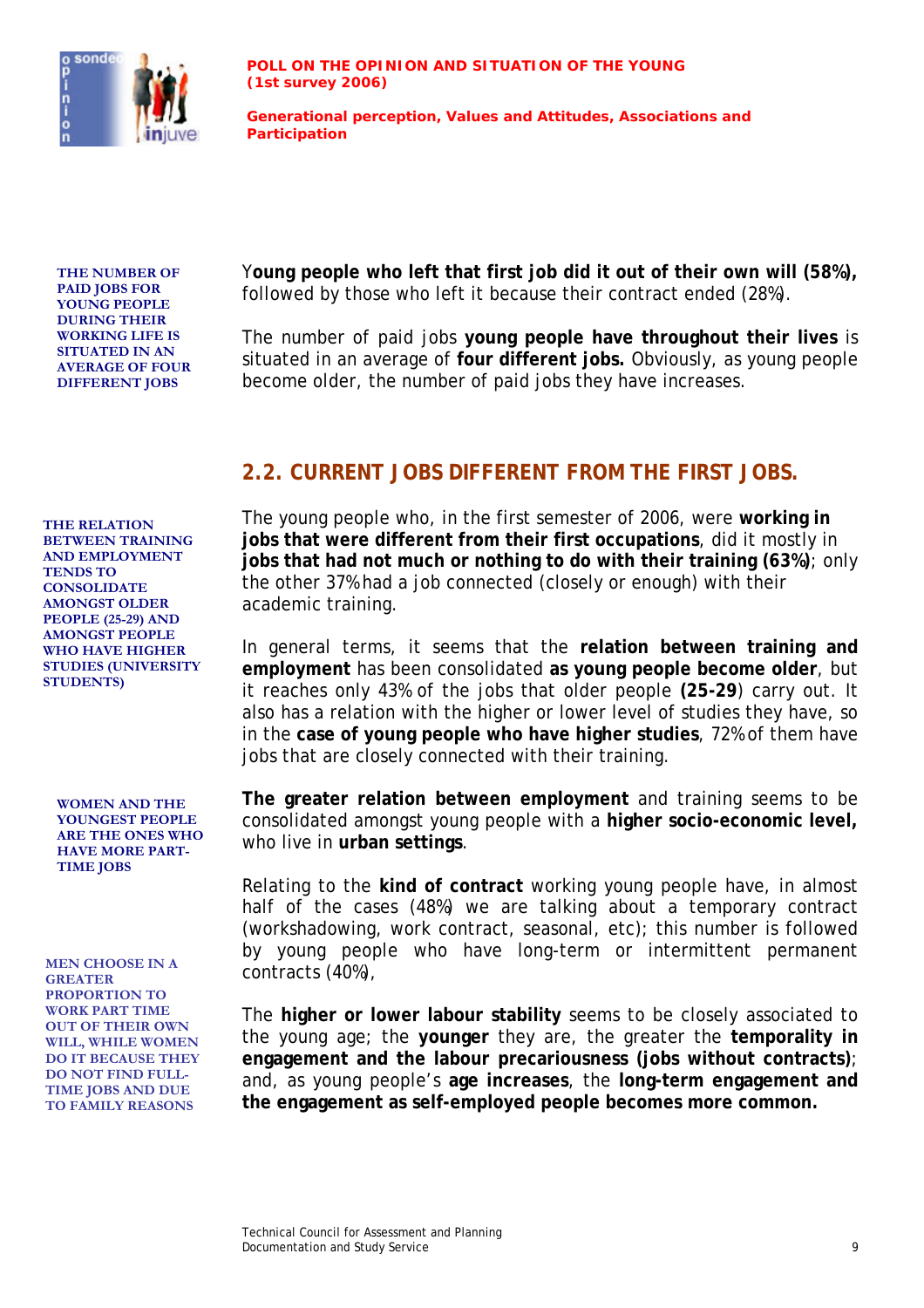

**THE NUMBER OF PAID JOBS FOR YOUNG PEOPLE DURING THEIR WORKING LIFE IS SITUATED IN AN AVERAGE OF FOUR DIFFERENT JOBS** 

Y**oung people who left that first job did it out of their own will (58%),** followed by those who left it because their contract ended (28%).

The number of paid jobs **young people have throughout their lives** is situated in an average of **four different jobs.** Obviously, as young people become older, the number of paid jobs they have increases.

#### **2.2. CURRENT JOBS DIFFERENT FROM THE FIRST JOBS.**

The young people who, in the first semester of 2006, were **working in jobs that were different from their first occupations**, did it mostly in **jobs that had not much or nothing to do with their training (63%)**; only the other 37% had a job connected (closely or enough) with their academic training.

In general terms, it seems that the **relation between training and employment** has been consolidated **as young people become older**, but it reaches only 43% of the jobs that older people **(25-29**) carry out. It also has a relation with the higher or lower level of studies they have, so in the **case of young people who have higher studies**, 72% of them have jobs that are closely connected with their training.

**The greater relation between employment** and training seems to be consolidated amongst young people with a **higher socio-economic level,** who live in **urban settings**.

Relating to the **kind of contract** working young people have, in almost half of the cases (48%) we are talking about a temporary contract (workshadowing, work contract, seasonal, etc); this number is followed by young people who have long-term or intermittent permanent

The **higher or lower labour stability** seems to be closely associated to the young age; the **younger** they are, the greater the **temporality in engagement and the labour precariousness (jobs without contracts)**; and, as young people's **age increases**, the **long-term engagement and the engagement as self-employed people becomes more common.** 

**THE RELATION BETWEEN TRAINING AND EMPLOYMENT TENDS TO CONSOLIDATE AMONGST OLDER PEOPLE (25-29) AND AMONGST PEOPLE WHO HAVE HIGHER STUDIES (UNIVERSITY STUDENTS)** 

**WOMEN AND THE YOUNGEST PEOPLE ARE THE ONES WHO HAVE MORE PART-TIME JOBS** 

MEN CHOOSE IN A *CORATER* **CONTRACTS** (40%), **GREATER PROPORTION TO WORK PART TIME OUT OF THEIR OWN WILL, WHILE WOMEN DO IT BECAUSE THEY DO NOT FIND FULL-TIME JOBS AND DUE TO FAMILY REASONS**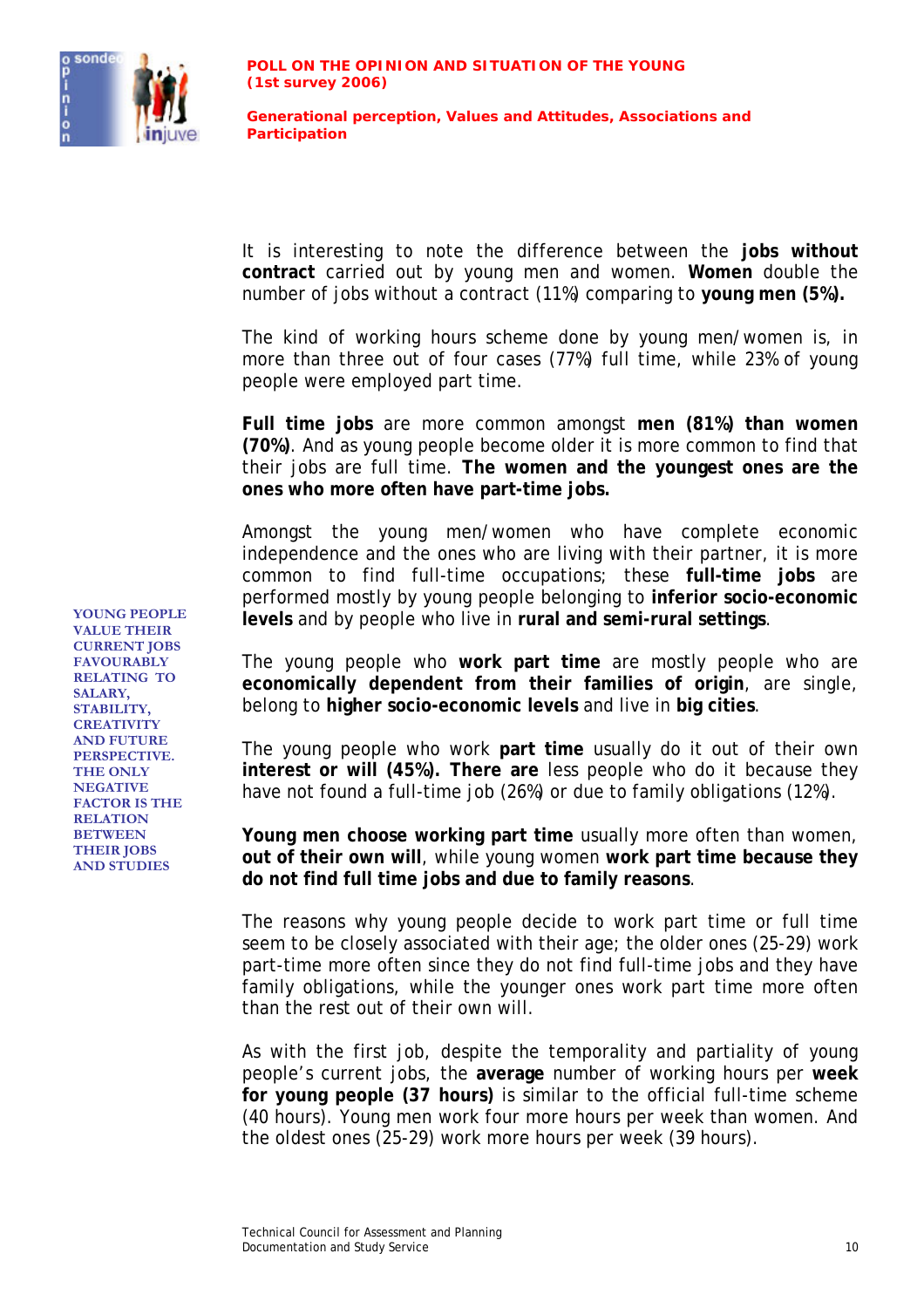

It is interesting to note the difference between the **jobs without contract** carried out by young men and women. **Women** double the number of jobs without a contract (11%) comparing to **young men (5%).**

The kind of working hours scheme done by young men/women is, in more than three out of four cases (77%) full time, while 23% of young people were employed part time.

**Full time jobs** are more common amongst **men (81%) than women (70%)**. And as young people become older it is more common to find that their jobs are full time. **The women and the youngest ones are the ones who more often have part-time jobs.**

Amongst the young men/women who have complete economic independence and the ones who are living with their partner, it is more common to find full-time occupations; these **full-time jobs** are performed mostly by young people belonging to **inferior socio-economic levels** and by people who live in **rural and semi-rural settings**. **YOUNG PEOPLE** 

> The young people who **work part time** are mostly people who are **economically dependent from their families of origin**, are single, belong to **higher socio-economic levels** and live in **big cities**.

> The young people who work **part time** usually do it out of their own **interest or will (45%). There are** less people who do it because they have not found a full-time job (26%) or due to family obligations (12%).

> **Young men choose working part time** usually more often than women, **out of their own will**, while young women **work part time because they do not find full time jobs and due to family reasons**.

> The reasons why young people decide to work part time or full time seem to be closely associated with their age; the older ones (25-29) work part-time more often since they do not find full-time jobs and they have family obligations, while the younger ones work part time more often than the rest out of their own will.

> As with the first job, despite the temporality and partiality of young people's current jobs, the **average** number of working hours per **week for young people (37 hours)** is similar to the official full-time scheme (40 hours). Young men work four more hours per week than women. And the oldest ones (25-29) work more hours per week (39 hours).

**VALUE THEIR CURRENT JOBS FAVOURABLY RELATING TO SALARY, STABILITY, CREATIVITY AND FUTURE PERSPECTIVE. THE ONLY NEGATIVE FACTOR IS THE RELATION BETWEEN THEIR JOBS AND STUDIES**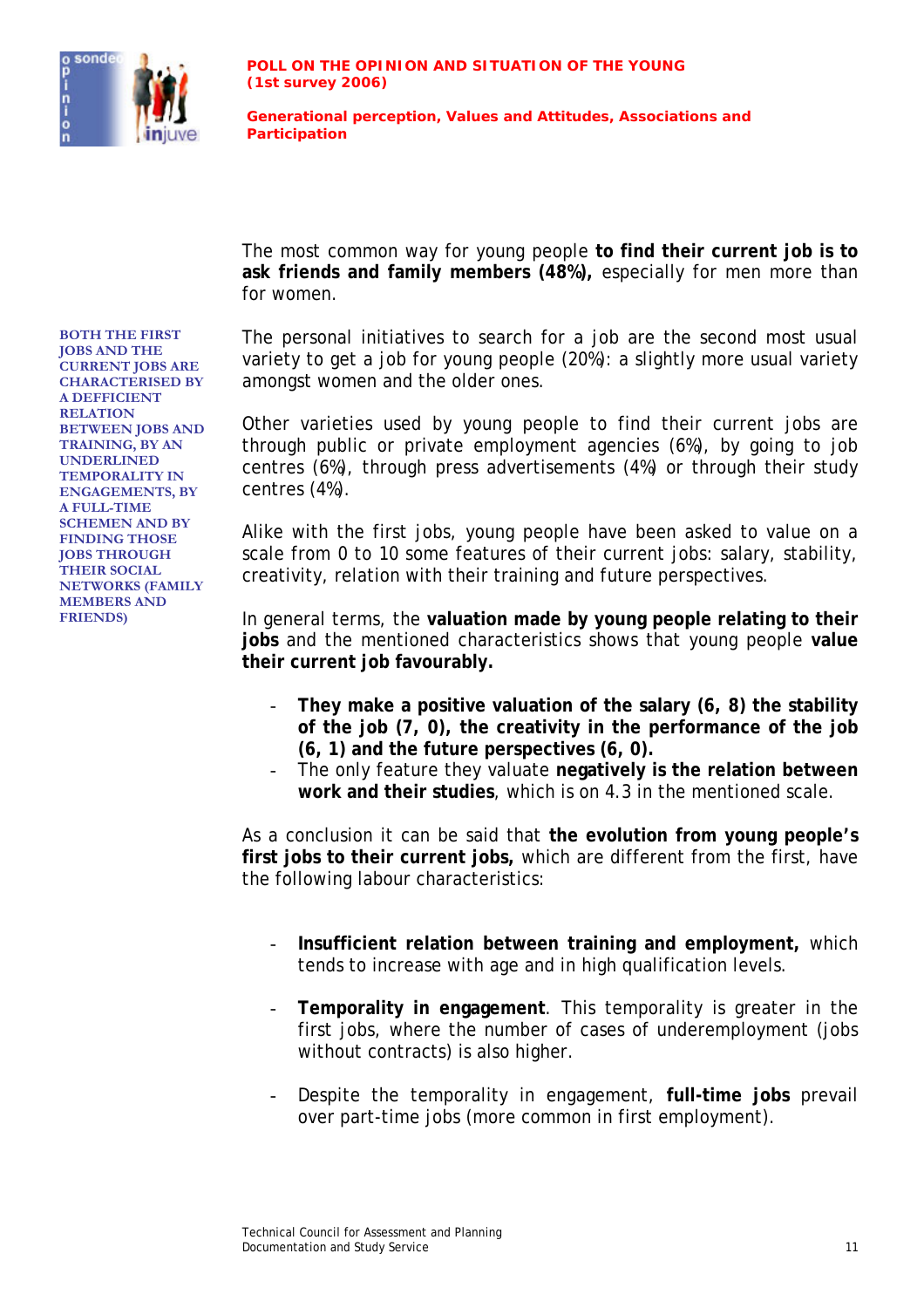

The most common way for young people **to find their current job is to ask friends and family members (48%),** especially for men more than for women.

The personal initiatives to search for a job are the second most usual variety to get a job for young people (20%): a slightly more usual variety amongst women and the older ones.

Other varieties used by young people to find their current jobs are through public or private employment agencies (6%), by going to job centres (6%), through press advertisements (4%) or through their study centres (4%).

Alike with the first jobs, young people have been asked to value on a scale from 0 to 10 some features of their current jobs: salary, stability, creativity, relation with their training and future perspectives.

In general terms, the **valuation made by young people relating to their jobs** and the mentioned characteristics shows that young people **value their current job favourably.** 

- **They make a positive valuation of the salary (6, 8) the stability of the job (7, 0), the creativity in the performance of the job (6, 1) and the future perspectives (6, 0).**
- The only feature they valuate **negatively is the relation between work and their studies**, which is on 4.3 in the mentioned scale.

As a conclusion it can be said that **the evolution from young people's first jobs to their current jobs,** which are different from the first, have the following labour characteristics:

- **Insufficient relation between training and employment,** which tends to increase with age and in high qualification levels.
- **Temporality in engagement**. This temporality is greater in the first jobs, where the number of cases of underemployment (jobs without contracts) is also higher.
- Despite the temporality in engagement, **full-time jobs** prevail over part-time jobs (more common in first employment).

**BOTH THE FIRST JOBS AND THE CURRENT JOBS ARE CHARACTERISED BY A DEFFICIENT RELATION BETWEEN JOBS AND TRAINING, BY AN UNDERLINED TEMPORALITY IN ENGAGEMENTS, BY A FULL-TIME SCHEMEN AND BY FINDING THOSE JOBS THROUGH THEIR SOCIAL NETWORKS (FAMILY MEMBERS AND FRIENDS)**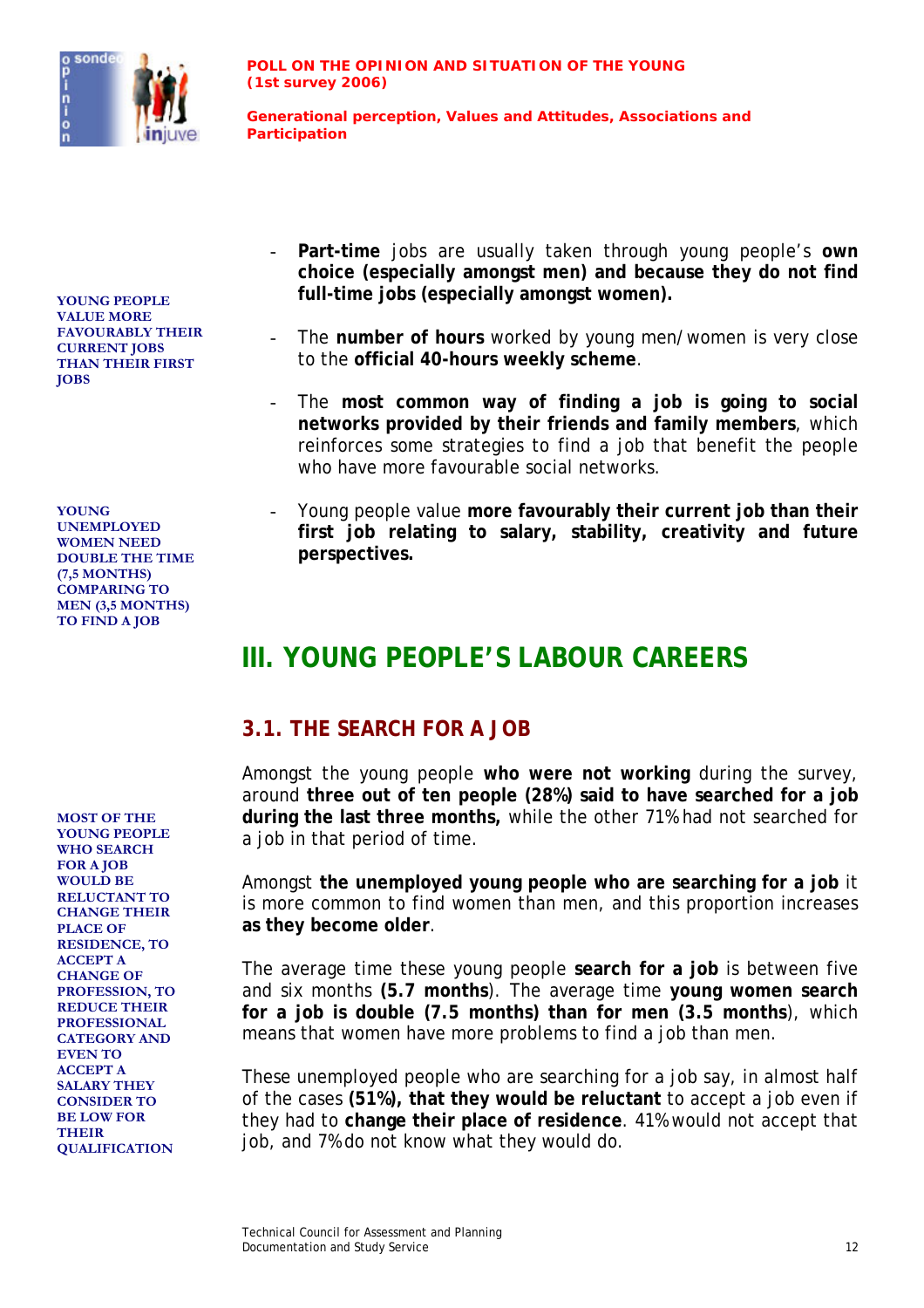

**VALUE MORE FAVOURABLY THEIR CURRENT JOBS THAN THEIR FIRST JOBS**

**YOUNG UNEMPLOYED WOMEN NEED DOUBLE THE TIME (7,5 MONTHS) COMPARING TO MEN (3,5 MONTHS) TO FIND A JOB**

**MOST OF THE YOUNG PEOPLE WHO SEARCH FOR A JOB WOULD BE RELUCTANT TO CHANGE THEIR PLACE OF RESIDENCE, TO ACCEPT A CHANGE OF PROFESSION, TO REDUCE THEIR PROFESSIONAL CATEGORY AND EVEN TO ACCEPT A SALARY THEY CONSIDER TO BE LOW FOR THEIR QUALIFICATION**

- **Part-time** jobs are usually taken through young people's **own choice (especially amongst men) and because they do not find full-time jobs (especially amongst women).** *full-time jobs (especially amongst women)*.
	- The number of hours worked by young men/women is very close to the **official 40-hours weekly scheme**.
	- The **most common way of finding a job is going to social networks provided by their friends and family members**, which reinforces some strategies to find a job that benefit the people who have more favourable social networks.
	- Young people value **more favourably their current job than their first job relating to salary, stability, creativity and future perspectives.**

## **III. YOUNG PEOPLE'S LABOUR CAREERS**

#### **3.1. THE SEARCH FOR A JOB**

Amongst the young people **who were not working** during the survey, around **three out of ten people (28%) said to have searched for a job during the last three months,** while the other 71% had not searched for a job in that period of time.

Amongst **the unemployed young people who are searching for a job** it is more common to find women than men, and this proportion increases **as they become older**.

The average time these young people **search for a job** is between five and six months **(5.7 months**). The average time **young women search for a job is double (7.5 months) than for men (3.5 months**), which means that women have more problems to find a job than men.

These unemployed people who are searching for a job say, in almost half of the cases **(51%), that they would be reluctant** to accept a job even if they had to **change their place of residence**. 41% would not accept that job, and 7% do not know what they would do.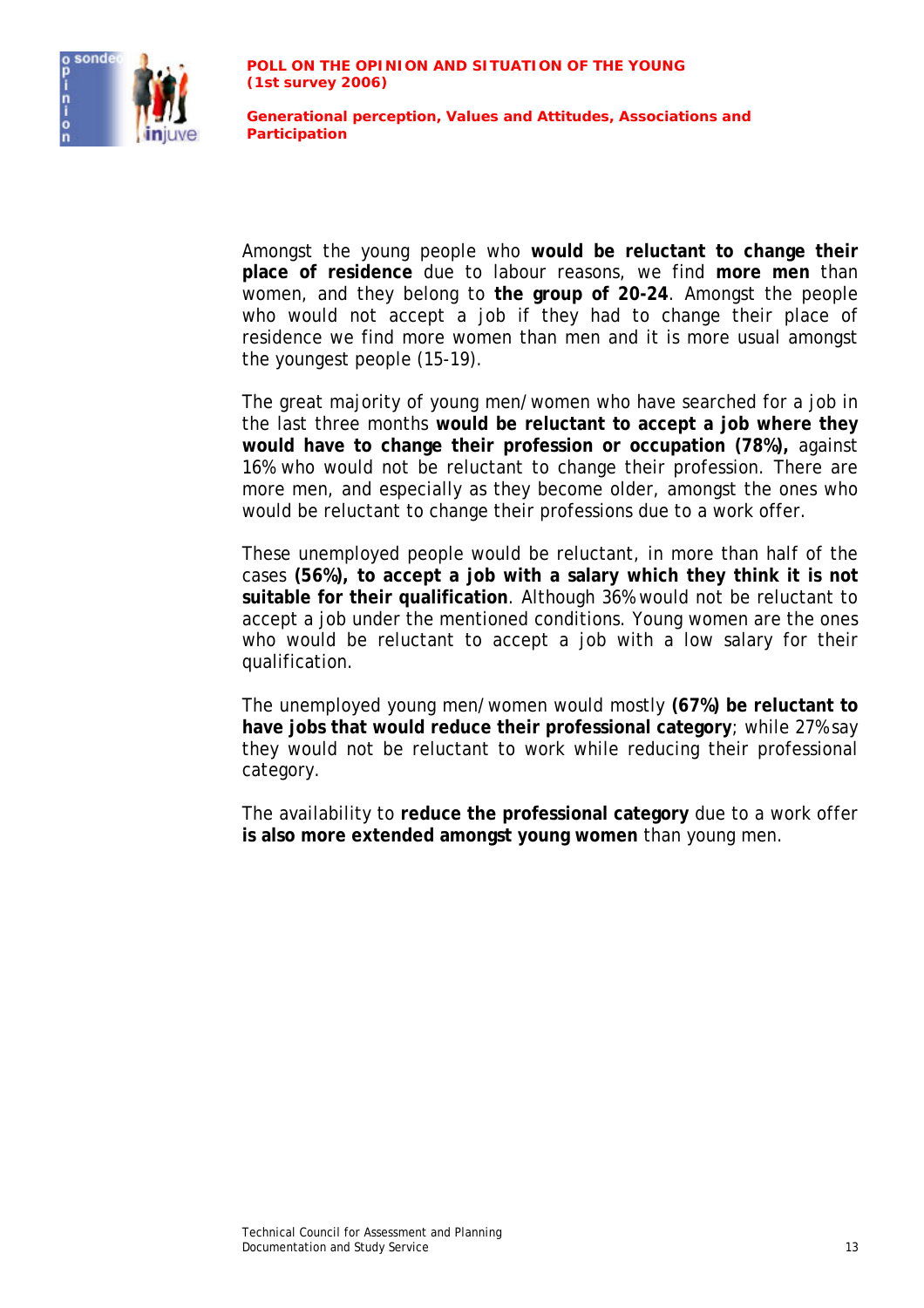

Amongst the young people who **would be reluctant to change their place of residence** due to labour reasons, we find **more men** than women, and they belong to **the group of 20-24**. Amongst the people who would not accept a job if they had to change their place of residence we find more women than men and it is more usual amongst the youngest people (15-19).

The great majority of young men/women who have searched for a job in the last three months **would be reluctant to accept a job where they would have to change their profession or occupation (78%),** against 16% who would not be reluctant to change their profession. There are more men, and especially as they become older, amongst the ones who would be reluctant to change their professions due to a work offer.

These unemployed people would be reluctant, in more than half of the cases **(56%), to accept a job with a salary which they think it is not suitable for their qualification**. Although 36% would not be reluctant to accept a job under the mentioned conditions. Young women are the ones who would be reluctant to accept a job with a low salary for their qualification.

The unemployed young men/women would mostly **(67%) be reluctant to have jobs that would reduce their professional category**; while 27% say they would not be reluctant to work while reducing their professional category.

The availability to **reduce the professional category** due to a work offer **is also more extended amongst young women** than young men.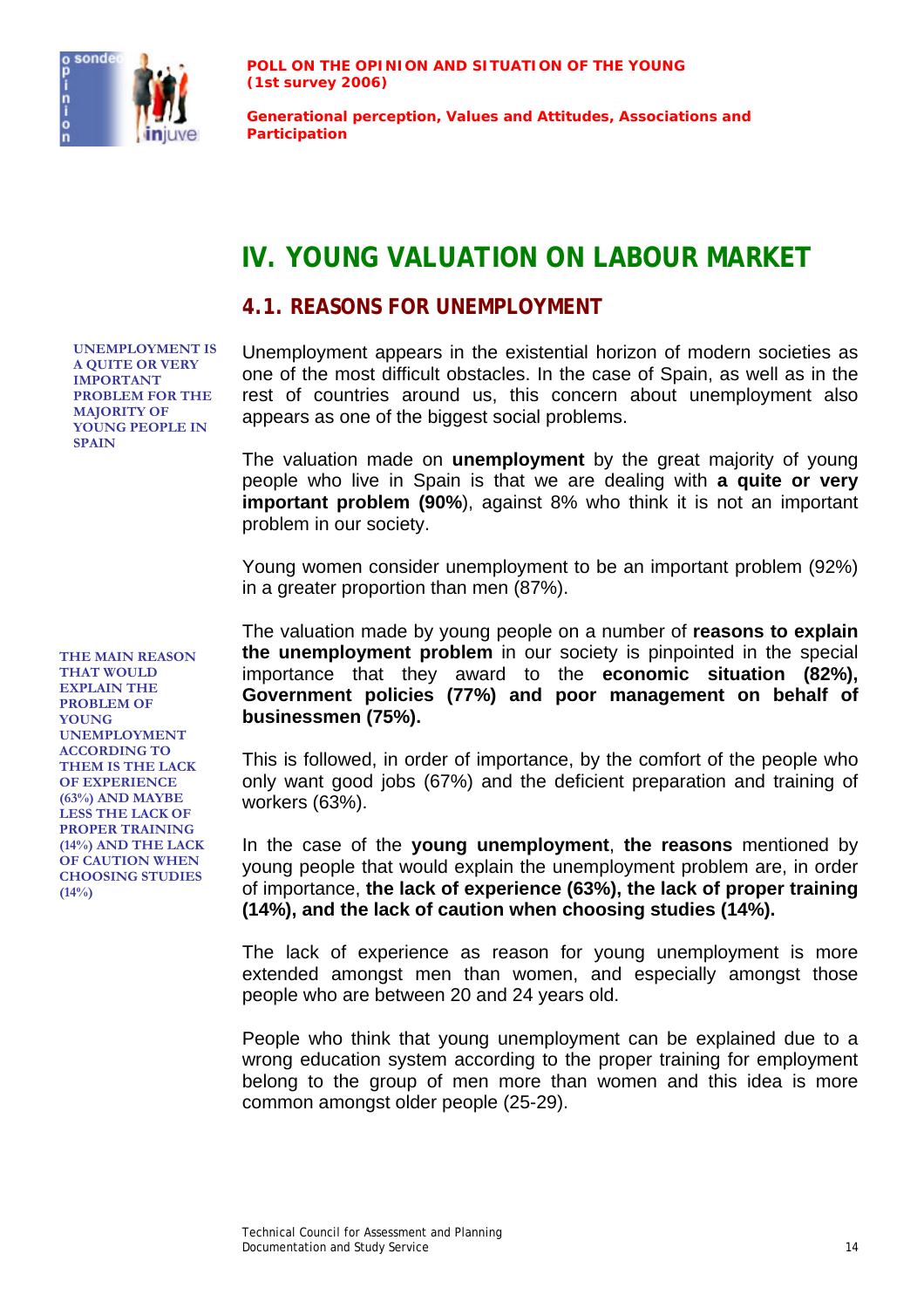

**Generational perception, Values and Attitudes, Associations and Participation**

## **IV. YOUNG VALUATION ON LABOUR MARKET**

#### **4.1. REASONS FOR UNEMPLOYMENT**

**UNEMPLOYMENT IS A QUITE OR VERY IMPORTANT PROBLEM FOR THE MAJORITY OF YOUNG PEOPLE IN SPAIN** 

Unemployment appears in the existential horizon of modern societies as one of the most difficult obstacles. In the case of Spain, as well as in the rest of countries around us, this concern about unemployment also appears as one of the biggest social problems.

The valuation made on **unemployment** by the great majority of young people who live in Spain is that we are dealing with **a quite or very important problem (90%**), against 8% who think it is not an important problem in our society.

Young women consider unemployment to be an important problem (92%) in a greater proportion than men (87%).

The valuation made by young people on a number of **reasons to explain the unemployment problem** in our society is pinpointed in the special importance that they award to the **economic situation (82%), Government policies (77%) and poor management on behalf of businessmen (75%).**

This is followed, in order of importance, by the comfort of the people who only want good jobs (67%) and the deficient preparation and training of workers (63%).

In the case of the **young unemployment**, **the reasons** mentioned by young people that would explain the unemployment problem are, in order of importance, **the lack of experience (63%), the lack of proper training (14%), and the lack of caution when choosing studies (14%).** 

The lack of experience as reason for young unemployment is more extended amongst men than women, and especially amongst those people who are between 20 and 24 years old.

People who think that young unemployment can be explained due to a wrong education system according to the proper training for employment belong to the group of men more than women and this idea is more common amongst older people (25-29).

**THE MAIN REASON THAT WOULD EXPLAIN THE PROBLEM OF YOUNG UNEMPLOYMENT ACCORDING TO THEM IS THE LACK OF EXPERIENCE (63%) AND MAYBE LESS THE LACK OF PROPER TRAINING (14%) AND THE LACK OF CAUTION WHEN CHOOSING STUDIES (14%)**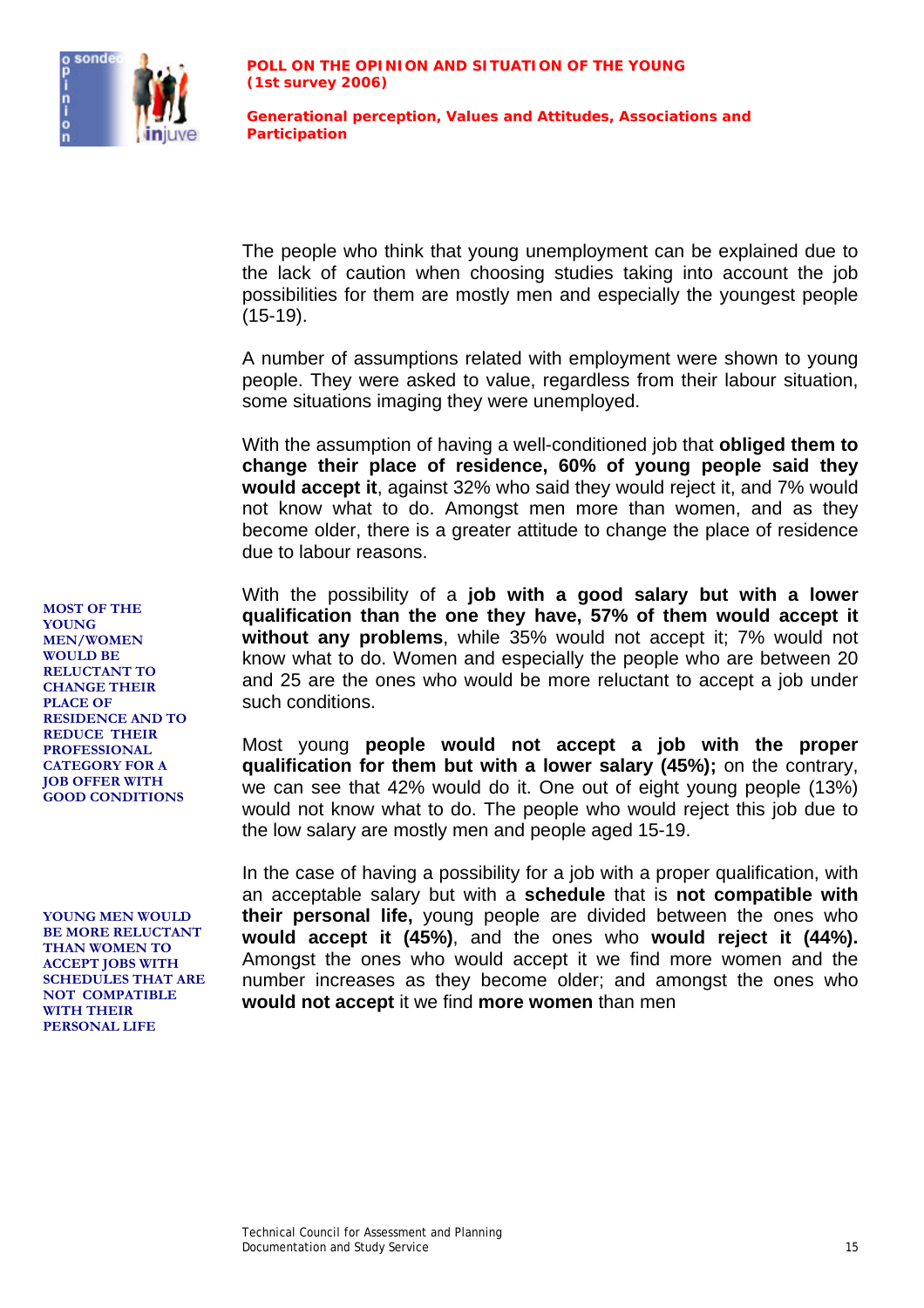

The people who think that young unemployment can be explained due to the lack of caution when choosing studies taking into account the job possibilities for them are mostly men and especially the youngest people (15-19).

A number of assumptions related with employment were shown to young people. They were asked to value, regardless from their labour situation, some situations imaging they were unemployed.

With the assumption of having a well-conditioned job that **obliged them to change their place of residence, 60% of young people said they would accept it**, against 32% who said they would reject it, and 7% would not know what to do. Amongst men more than women, and as they become older, there is a greater attitude to change the place of residence due to labour reasons.

With the possibility of a **job with a good salary but with a lower qualification than the one they have, 57% of them would accept it without any problems**, while 35% would not accept it; 7% would not know what to do. Women and especially the people who are between 20 and 25 are the ones who would be more reluctant to accept a job under such conditions.

Most young **people would not accept a job with the proper qualification for them but with a lower salary (45%);** on the contrary, we can see that 42% would do it. One out of eight young people (13%) would not know what to do. The people who would reject this job due to the low salary are mostly men and people aged 15-19.

In the case of having a possibility for a job with a proper qualification, with an acceptable salary but with a **schedule** that is **not compatible with their personal life,** young people are divided between the ones who **would accept it (45%)**, and the ones who **would reject it (44%).** Amongst the ones who would accept it we find more women and the number increases as they become older; and amongst the ones who **would not accept** it we find **more women** than men

**MOST OF THE YOUNG MEN/WOMEN WOULD BE RELUCTANT TO CHANGE THEIR PLACE OF RESIDENCE AND TO REDUCE THEIR PROFESSIONAL CATEGORY FOR A JOB OFFER WITH GOOD CONDITIONS**

**YOUNG MEN WOULD BE MORE RELUCTANT THAN WOMEN TO ACCEPT JOBS WITH SCHEDULES THAT ARE NOT COMPATIBLE WITH THEIR PERSONAL LIFE**